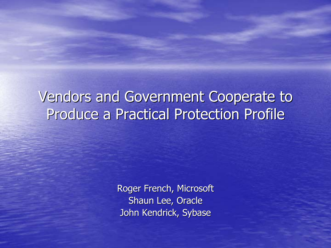#### Vendors and Government Cooperate to Produce a Practical Protection Profile

Roger French, Microsoft Shaun Lee, Oracle John Kendrick, Sybase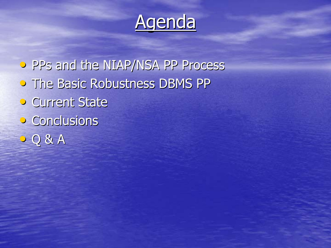

• PPs and the NIAP/NSA PP Process **• The Basic Robustness DBMS PP • Current State** • Conclusions • Q & A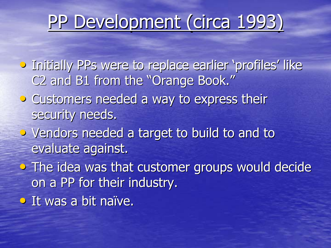# PP Development (circa 1993)

- **•** Initially PPs were to replace earlier 'profiles' like C2 and B1 from the "Orange Book."
- Customers needed a way to express their security needs.
- $\bullet$  Vendors needed a target to build to and to evaluate against.
- $\bullet$  The idea was that customer groups would decide on a PP for their industry.
- $\bullet$  It was a bit naïve.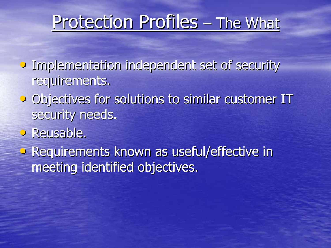#### Protection Profiles – $-$  The What

- **Implementation independent set of security** requirements.
- Objectives for solutions to similar customer IT security needs.
- Reusable.
- Requirements known as useful/effective in meeting identified objectives.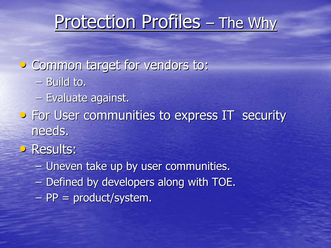#### Protection Profiles –<u>– The Why</u>

- Common target for vendors to:
	- Build to.
	- Evaluate against.
- **•** For User communities to express IT security needs.
- **Results:** 
	- $\mathcal{L}_{\mathcal{A}}$ – Uneven take up by user communities.
	- $\mathcal{L}_{\mathcal{A}}$ – Defined by developers along with TOE.
	- $\mathcal{L}_{\mathcal{A}}$ – PP = product/system.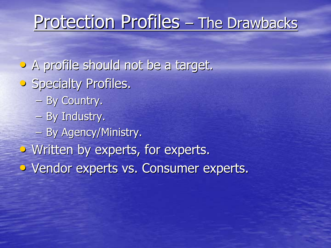#### Protection Profiles **Holland** - The Drawbacks

- A profile should not be a target.
- **•** Specialty Profiles.
	- By Country.
	- $-$  By Industry.
	- By Agency/Ministry.
- $\bullet$  Written by experts, for experts.
- Vendor experts vs. Consumer experts.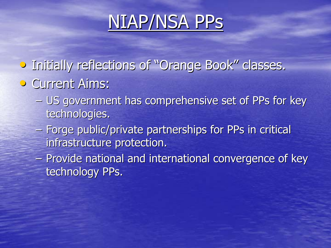# NIAP/NSA PPS

- Initially reflections of "Orange Book" classes.
- **Current Aims:** 
	- US government has comprehensive set of PPs for key technologies.
	- Forge public/private partnerships for PPs in critical infrastructure protection.
	- $\mathcal{L}_{\mathcal{A}}$ – Provide national and international convergence of key technology PPs.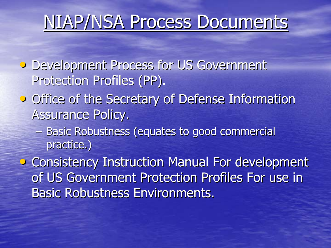# NIAP/NSA Process Documents

- **Development Process for US Government** Protection Profiles (PP).
- **Office of the Secretary of Defense Information** Assurance Policy.
	- Basic Robustness (equates to good commercial practice.)
- Consistency Instruction Manual For development of US Government Protection Profiles For use in Basic Robustness Environments.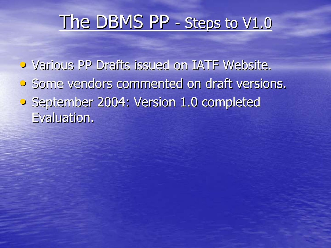### The DBMS PP - Steps to V1.0

• Various PP Drafts issued on IATF Website. • Some vendors commented on draft versions. • September 2004: Version 1.0 completed Evaluation.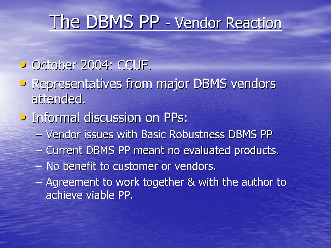# The DBMS PP - Vendor Reaction

- October 2004: CCUF.
- Representatives from major DBMS vendors attended.
- **Informal discussion on PPs:** 
	- Vendor issues with Basic Robustness DBMS PP
	- $\mathcal{L}_{\mathcal{A}}$ – Current DBMS PP meant no evaluated products.
	- $\mathcal{L}_{\mathcal{A}}$  $-$  No benefit to customer or vendors.
	- $\mathcal{L}_{\mathcal{A}}$ – Agreement to work together & with the author to achieve viable PP. achieve viable PP.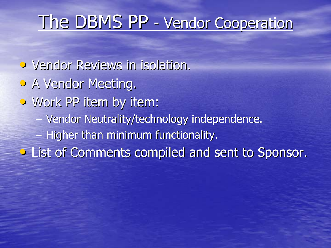# The DBMS PP - Vendor Cooperation

• Vendor Reviews in isolation. • A Vendor Meeting. • Work PP item by item: – Vendor Neutrality/technology independence. –– Higher than minimum functionality. **• List of Comments compiled and sent to Sponsor.**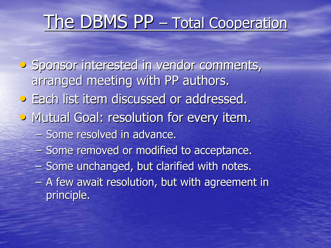# The DBMS PP – Total Cooperation

• Sponsor interested in vendor comments, arranged meeting with PP authors.

- **•** Each list item discussed or addressed.
- Mutual Goal: resolution for every item.
	- Some resolved in advance.
	- $\mathcal{L}_{\mathcal{A}}$ – Some removed or modified to acceptance.
	- $\mathcal{L}_{\mathcal{A}}$ – Some unchanged, but clarified with notes.
	- $\mathcal{L}_{\mathcal{A}}$ – A few await resolution, but with agreement in principle.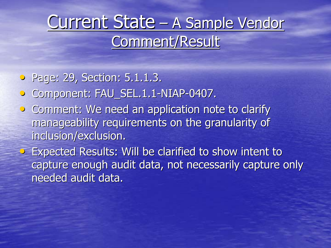### Current State – A Sample Vendor Comment/Result

• Page: 29, Section: 5.1.1.3.

- Component: FAU\_SEL.1.1-NIAP-0407.
- Comment: We need an application note to clarify manageability requirements on the granularity of inclusion/exclusion.

• Expected Results: Will be clarified to show intent to capture enough audit data, not necessarily capture only needed audit data.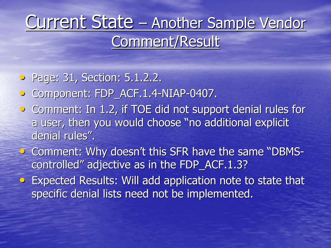### Current State – Another Sample Vendor Comment/Result

• Page: 31, Section: 5.1.2.2.

- Component: FDP\_ACF.1.4-NIAP-0407.
- Comment: In 1.2, if TOE did not support denial rules for a user, then you would choose "no additional explicit denial rules".
- Comment: Why doesn't this SFR have the same "DBMScontrolled" adjective as in the FDP\_ACF.1.3?  $\,$
- Expected Results: Will add application note to state that specific denial lists need not be implemented.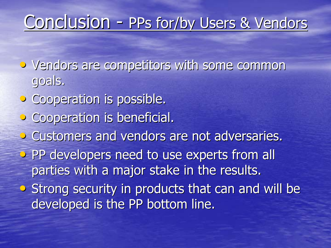# Conclusion - PPs for/by Users & Vendors

• Vendors are competitors with some common goals.

- Cooperation is possible.
- **•** Cooperation is beneficial.
- Customers and vendors are not adversaries.
- PP developers need to use experts from all parties with a major stake in the results.
- Strong security in products that can and will be developed is the PP bottom line.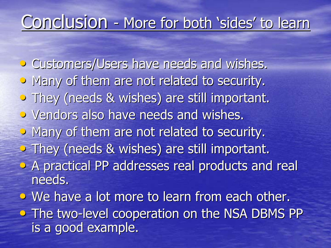# Conclusion - More for both 'sides' to learn

**• Customers/Users have needs and wishes.** • Many of them are not related to security. • They (needs & wishes) are still important. • Vendors also have needs and wishes. • Many of them are not related to security.  $\triangleright$  They (needs & wishes) are still important.  $\bullet$  A practical PP addresses real products and real needs. • We have a lot more to learn from each other. • The two-level cooperation on the NSA DBMS PP is a good example.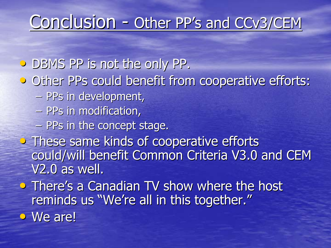# Conclusion - Other PP's and CCv3/CEM

• DBMS PP is not the only PP.

**• Other PPs could benefit from cooperative efforts:** 

- PPs in development,
- PPs in modification,
- PPs in the concept stage.
- These same kinds of cooperative efforts could/will benefit Common Criteria V3.0 and CEM  $V2.0$  as well.
- There's a Canadian TV show where the host reminds us "We're all in this together."
- $\bullet$  We are!